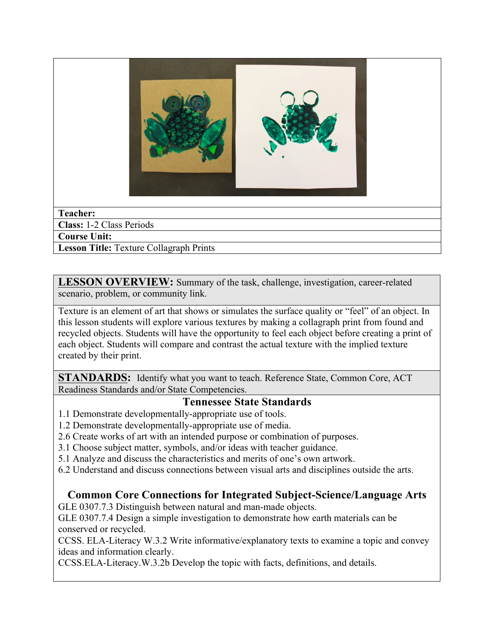

### **Teacher:**

**Class:** 1-2 Class Periods

**Course Unit:**

**Lesson Title:** Texture Collagraph Prints

**LESSON OVERVIEW:** Summary of the task, challenge, investigation, career-related scenario, problem, or community link.

Texture is an element of art that shows or simulates the surface quality or "feel" of an object. In this lesson students will explore various textures by making a collagraph print from found and recycled objects. Students will have the opportunity to feel each object before creating a print of each object. Students will compare and contrast the actual texture with the implied texture created by their print.

**STANDARDS:** Identify what you want to teach. Reference State, Common Core, ACT Readiness Standards and/or State Competencies.

### **Tennessee State Standards**

- 1.1 Demonstrate developmentally-appropriate use of tools.
- 1.2 Demonstrate developmentally-appropriate use of media.
- 2.6 Create works of art with an intended purpose or combination of purposes.
- 3.1 Choose subject matter, symbols, and/or ideas with teacher guidance.
- 5.1 Analyze and discuss the characteristics and merits of one's own artwork.
- 6.2 Understand and discuss connections between visual arts and disciplines outside the arts.

## **Common Core Connections for Integrated Subject-Science/Language Arts**

GLE 0307.7.3 Distinguish between natural and man-made objects.

GLE 0307.7.4 Design a simple investigation to demonstrate how earth materials can be conserved or recycled.

CCSS. ELA-Literacy W.3.2 Write informative/explanatory texts to examine a topic and convey ideas and information clearly.

CCSS.ELA-Literacy.W.3.2b Develop the topic with facts, definitions, and details.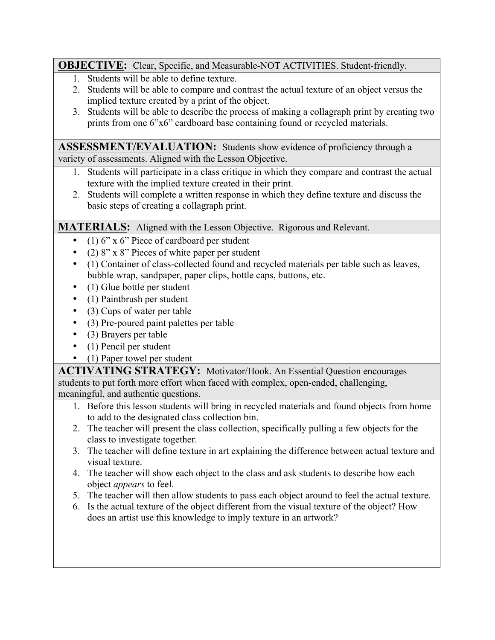### **OBJECTIVE:** Clear, Specific, and Measurable-NOT ACTIVITIES. Student-friendly.

- 1. Students will be able to define texture.
- 2. Students will be able to compare and contrast the actual texture of an object versus the implied texture created by a print of the object.
- 3. Students will be able to describe the process of making a collagraph print by creating two prints from one 6"x6" cardboard base containing found or recycled materials.

**ASSESSMENT/EVALUATION:** Students show evidence of proficiency through a variety of assessments. Aligned with the Lesson Objective.

- 1. Students will participate in a class critique in which they compare and contrast the actual texture with the implied texture created in their print.
- 2. Students will complete a written response in which they define texture and discuss the basic steps of creating a collagraph print.

## **MATERIALS:** Aligned with the Lesson Objective. Rigorous and Relevant.

- (1) 6" x 6" Piece of cardboard per student
- (2) 8" x 8" Pieces of white paper per student
- (1) Container of class-collected found and recycled materials per table such as leaves, bubble wrap, sandpaper, paper clips, bottle caps, buttons, etc.
- (1) Glue bottle per student
- (1) Paintbrush per student
- (3) Cups of water per table
- (3) Pre-poured paint palettes per table
- (3) Brayers per table
- (1) Pencil per student
- (1) Paper towel per student

**ACTIVATING STRATEGY:** Motivator/Hook. An Essential Question encourages students to put forth more effort when faced with complex, open-ended, challenging, meaningful, and authentic questions.

- 1. Before this lesson students will bring in recycled materials and found objects from home to add to the designated class collection bin.
- 2. The teacher will present the class collection, specifically pulling a few objects for the class to investigate together.
- 3. The teacher will define texture in art explaining the difference between actual texture and visual texture.
- 4. The teacher will show each object to the class and ask students to describe how each object *appears* to feel.
- 5. The teacher will then allow students to pass each object around to feel the actual texture.
- 6. Is the actual texture of the object different from the visual texture of the object? How does an artist use this knowledge to imply texture in an artwork?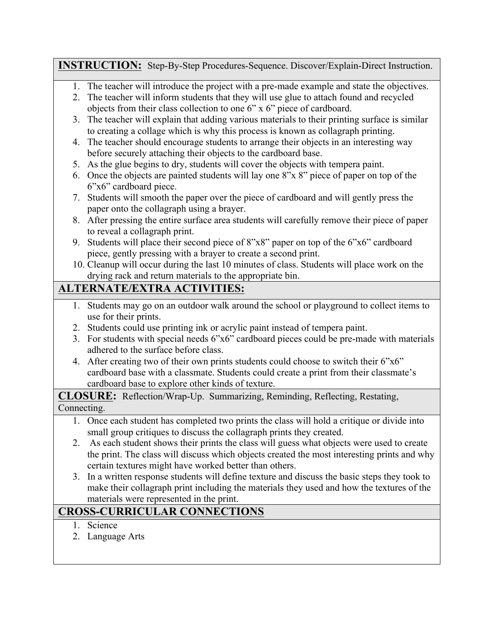## **INSTRUCTION:** Step-By-Step Procedures-Sequence. Discover/Explain-Direct Instruction.

- 1. The teacher will introduce the project with a pre-made example and state the objectives.
- 2. The teacher will inform students that they will use glue to attach found and recycled objects from their class collection to one 6" x 6" piece of cardboard.
- 3. The teacher will explain that adding various materials to their printing surface is similar to creating a collage which is why this process is known as collagraph printing.
- 4. The teacher should encourage students to arrange their objects in an interesting way before securely attaching their objects to the cardboard base.
- 5. As the glue begins to dry, students will cover the objects with tempera paint.
- 6. Once the objects are painted students will lay one 8"x 8" piece of paper on top of the 6"x6" cardboard piece.
- 7. Students will smooth the paper over the piece of cardboard and will gently press the paper onto the collagraph using a brayer.
- 8. After pressing the entire surface area students will carefully remove their piece of paper to reveal a collagraph print.
- 9. Students will place their second piece of 8"x8" paper on top of the 6"x6" cardboard piece, gently pressing with a brayer to create a second print.
- 10. Cleanup will occur during the last 10 minutes of class. Students will place work on the drying rack and return materials to the appropriate bin.

# **ALTERNATE/EXTRA ACTIVITIES:**

- 1. Students may go on an outdoor walk around the school or playground to collect items to use for their prints.
- 2. Students could use printing ink or acrylic paint instead of tempera paint.
- 3. For students with special needs 6"x6" cardboard pieces could be pre-made with materials adhered to the surface before class.
- 4. After creating two of their own prints students could choose to switch their 6"x6" cardboard base with a classmate. Students could create a print from their classmate's cardboard base to explore other kinds of texture.

**CLOSURE:** Reflection/Wrap-Up. Summarizing, Reminding, Reflecting, Restating, Connecting.

- 1. Once each student has completed two prints the class will hold a critique or divide into small group critiques to discuss the collagraph prints they created.
- 2. As each student shows their prints the class will guess what objects were used to create the print. The class will discuss which objects created the most interesting prints and why certain textures might have worked better than others.
- 3. In a written response students will define texture and discuss the basic steps they took to make their collagraph print including the materials they used and how the textures of the materials were represented in the print.

# **CROSS-CURRICULAR CONNECTIONS**

- 1. Science
- 2. Language Arts